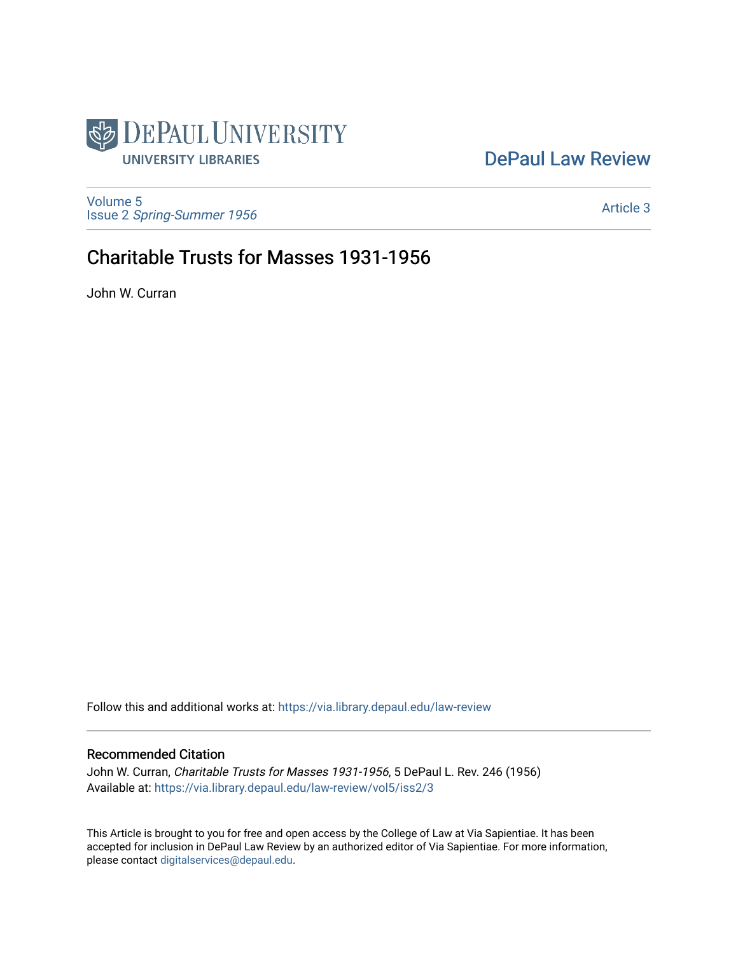

# [DePaul Law Review](https://via.library.depaul.edu/law-review)

[Volume 5](https://via.library.depaul.edu/law-review/vol5) Issue 2 [Spring-Summer 1956](https://via.library.depaul.edu/law-review/vol5/iss2) 

### [Article 3](https://via.library.depaul.edu/law-review/vol5/iss2/3)

# Charitable Trusts for Masses 1931-1956

John W. Curran

Follow this and additional works at: [https://via.library.depaul.edu/law-review](https://via.library.depaul.edu/law-review?utm_source=via.library.depaul.edu%2Flaw-review%2Fvol5%2Fiss2%2F3&utm_medium=PDF&utm_campaign=PDFCoverPages) 

### Recommended Citation

John W. Curran, Charitable Trusts for Masses 1931-1956, 5 DePaul L. Rev. 246 (1956) Available at: [https://via.library.depaul.edu/law-review/vol5/iss2/3](https://via.library.depaul.edu/law-review/vol5/iss2/3?utm_source=via.library.depaul.edu%2Flaw-review%2Fvol5%2Fiss2%2F3&utm_medium=PDF&utm_campaign=PDFCoverPages) 

This Article is brought to you for free and open access by the College of Law at Via Sapientiae. It has been accepted for inclusion in DePaul Law Review by an authorized editor of Via Sapientiae. For more information, please contact [digitalservices@depaul.edu.](mailto:digitalservices@depaul.edu)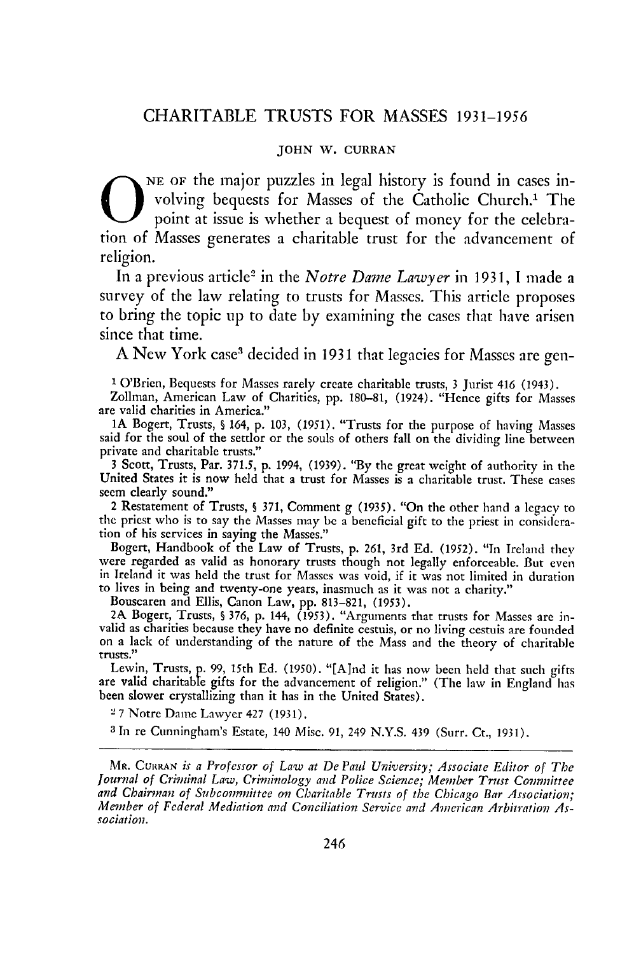#### **JOHN** W. CURRAN

NE OF the major puzzles in legal history is found in cases involving bequests for Masses of the Catholic Church.' The point at issue is whether a bequest of money for the celebration of Masses generates a charitable trust for the advancement of religion.

In a previous article2 in the *Notre Dame Lawyer* in **1931, I** made a survey of the law relating to trusts for Masses. This article proposes to bring the topic up to date by examining the cases that have arisen since that time.

**A** New York case" decided in **1931** that legacies for Masses are gen-

1 **O'Brien,** Bequests for Masses rarely create charitable trusts, **3** Jurist 416 (1943).

Zollman, American Law of Charities, **pp. 180-81,** (1924). "Hence gifts for Masses are valid charities in America."

**IA** Bogert, Trusts, § 164, **p. 103, (1951).** "Trusts for the purpose of having Masses said for the soul of the settlor or the souls of others fall on the dividing line between private and charitable trusts."

**3** Scott, Trusts, Par. 371.5, **p.** 1994, **(1939). "By** the great weight of authority in the United States it is now held that a trust for Masses is a charitable trust. These cases seem clearly sound."

2 Restatement of Trusts, § 371, Comment g **(1935).** "On the other hand a legacy to the priest who is to say the Masses may be a beneficial gift to the priest in consideration of his services in saying the Masses."

Bogert, Handbook of the Law of Trusts, p. 261, 3rd Ed. (1952). "In Ireland they were regarded as valid as honorary trusts though not legally enforceable. But even in Ireland it was held the trust for Masses was void, if it to lives in being and twenty-one years, inasmuch as **it** was not a charity."

Bouscaren and Ellis, Canon Law, **pp. 813-821, (1953).**

**2A** Bogert, Trusts, **§** 376, **p.** 144, **(1953).** "Arguments that trusts for Masses are invalid as charities because they have no definite cestuis, or no living cestuis are founded on a lack of understanding of the nature of the Mass and the theory of charitable trusts."

Lewin, Trusts, p. **99,** 15th Ed. (1950). "[A]nd it has now been held that such gifts are valid charitable gifts for the advancement of religion." (The law in England has been slower crystallizing than it has in the United States).

*2* 7 Notre Dame Lawyer 427 (1931).

**3** In re Cunningham's Estate, 140 Misc. **91,** 249 N.Y.S. 439 (Surr. Ct., **1931).**

MR. CURRAN *is a Professor of Law at De Paul University; Associate Editor of The Journal of Criminal Law, Criminology and Police Science; Member Trust Comnittee and Chairman of Subcommittee on Charitable Trusts of the Chicago Bar Association; Member of Federal Mediation and Conciliation Service and American Arbitration Association.*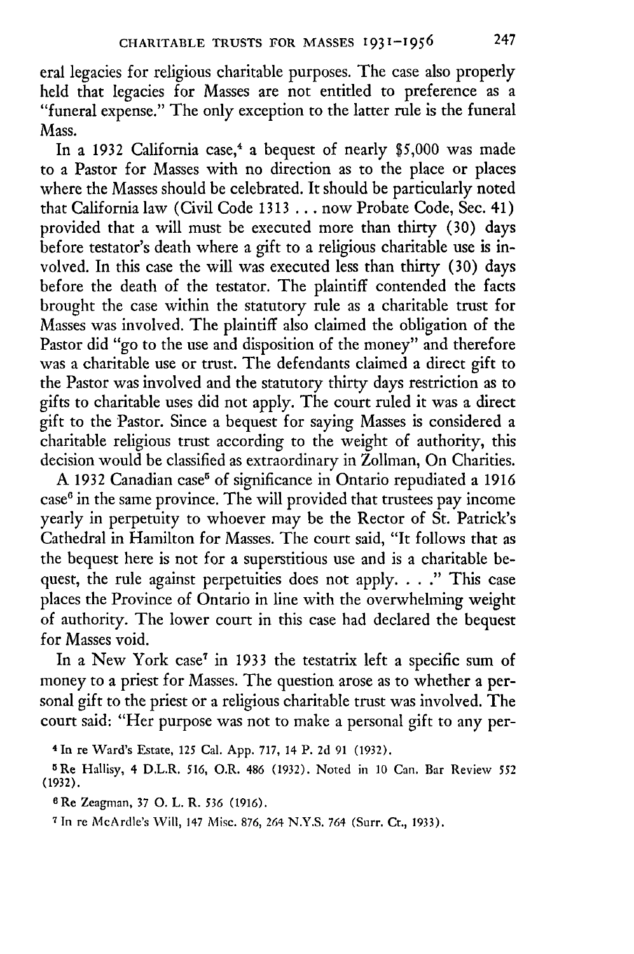eral legacies for religious charitable purposes. The case also properly held that legacies for Masses are not entitled to preference as a "funeral expense." The only exception to the latter rule is the funeral Mass.

In a 1932 California case,<sup>4</sup> a bequest of nearly \$5,000 was made to a Pastor for Masses with no direction as to the place or places where the Masses should be celebrated. It should be particularly noted that California law (Civil Code **1313 ...** now Probate Code, Sec. 41) provided that a will must be executed more than thirty (30) days before testator's death where a gift to a religious charitable use is involved. In this case the will was executed less than thirty (30) days before the death of the testator. The plaintiff contended the facts brought the case within the statutory rule as a charitable trust for Masses was involved. The plaintiff also claimed the obligation of the Pastor did "go to the use and disposition of the money" and therefore was a charitable use or trust. The defendants claimed a direct gift to the Pastor was involved and the statutory thirty days restriction as to gifts to charitable uses did not apply. The court ruled it was a direct gift to the Pastor. Since a bequest for saying Masses is considered a charitable religious trust according to the weight of authority, this decision would be classified as extraordinary in Zollman, On Charities.

A 1932 Canadian case<sup>5</sup> of significance in Ontario repudiated a 1916 case' in the same province. The will provided that trustees pay income yearly in perpetuity to whoever may be the Rector of St. Patrick's Cathedral in Hamilton for Masses. The court said, "It follows that as the bequest here is not for a superstitious use and is a charitable bequest, the rule against perpetuities does not apply. . . **."** This case places the Province of Ontario in line with the overwhelming weight of authority. The lower court in this case had declared the bequest for Masses void.

In a New York case<sup>7</sup> in 1933 the testatrix left a specific sum of money to a priest for Masses. The question arose as to whether a personal gift to the priest or a religious charitable trust was involved. The court said: "Her purpose was not to make a personal gift to any per-

**<sup>4</sup> In re** Ward's Estate, **125** Cal. **App. 717,** 14 **P. 2d 91 (1932).**

<sup>5</sup> Re Hallisy, 4 D.L.R. **516, O.R. 486 (1932).** Noted in **10** Can. Bar Review **<sup>552</sup> (1932).**

**<sup>6</sup> Re** Zeagman, **37 0.** L. R. *536* **(1916).**

**7** In re McArdle's Will, **147** Misc. **876,** 264 **N.Y.S.** 764 (Surr. Ct., **1933).**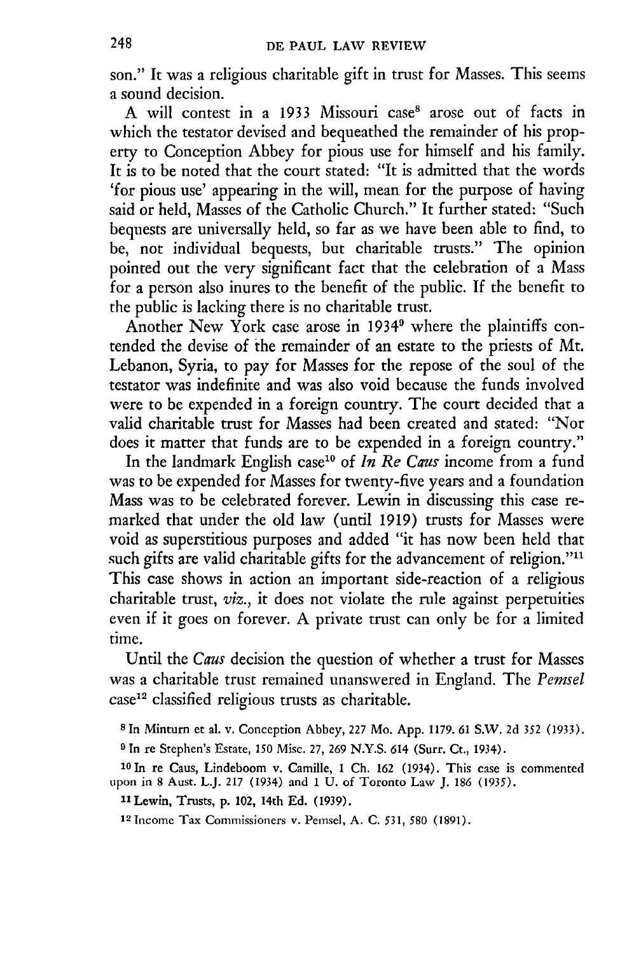son." It was a religious charitable gift in trust for Masses. This seems a sound decision.

A will contest in a 1933 Missouri case' arose out of facts in which the testator devised and bequeathed the remainder of his property to Conception Abbey for pious use for himself and his family. It is to be noted that the court stated: "It is admitted that the words 'for pious use' appearing in the will, mean for the purpose of having said or held, Masses of the Catholic Church." It further stated: "Such bequests are universally held, so far as we have been able to find, to be, not individual bequests, but charitable trusts." The opinion pointed out the very significant fact that the celebration of a Mass for a person also inures to the benefit of the public. If the benefit to the public is lacking there is no charitable trust.

Another New York case arose in 1934<sup>9</sup> where the plaintiffs contended the devise of the remainder of an estate to the priests of Mt. Lebanon, Syria, to pay for Masses for the repose of the soul of the testator was indefinite and was also void because the funds involved were to be expended in a foreign country. The court decided that a valid charitable trust for Masses had been created and stated: "Nor does it matter that funds are to be expended in a foreign country."

In the landmark English case'0 of *In Re Caus* income from a fund was to be expended for Masses for twenty-five years and a foundation Mass was to be celebrated forever. Lewin in discussing this case remarked that under the old law (until 1919) trusts for Masses were void as superstitious purposes and added "it has now been held that such gifts are valid charitable gifts for the advancement of religion."<sup>11</sup> This case shows in action an important side-reaction of a religious charitable trust, *viz.,* it does not violate the rule against perpetuities even if it goes on forever. A private trust can only be for a limited time.

Until the *Caus* decision the question of whether a trust for Masses was a charitable trust remained unanswered in England. The *Pemsel* case<sup>12</sup> classified religious trusts as charitable.

**8** In Minturn et al. v. Conception Abbey, 227 Mo. App. 1179. 61 S.W. 2d *352* (1933).

**9** In re Stephen's Estate, 150 Misc. 27, 269 N.Y.S. 614 (Surr. Ct., 1934).

**<sup>10</sup>**In re Caus, Lindeboom v. Camille, I Ch. 162 (1934). This case is commented upon in 8 Aust. L.J. 217 (1934) and **1** U. of Toronto Law J. 186 (1935).

**<sup>11</sup>**Lewin, Trusts, p. 102, 14th **Ed. (1939).**

12 Income Tax Commissioners v. Pemsel, A. C. 531, *580* (1891).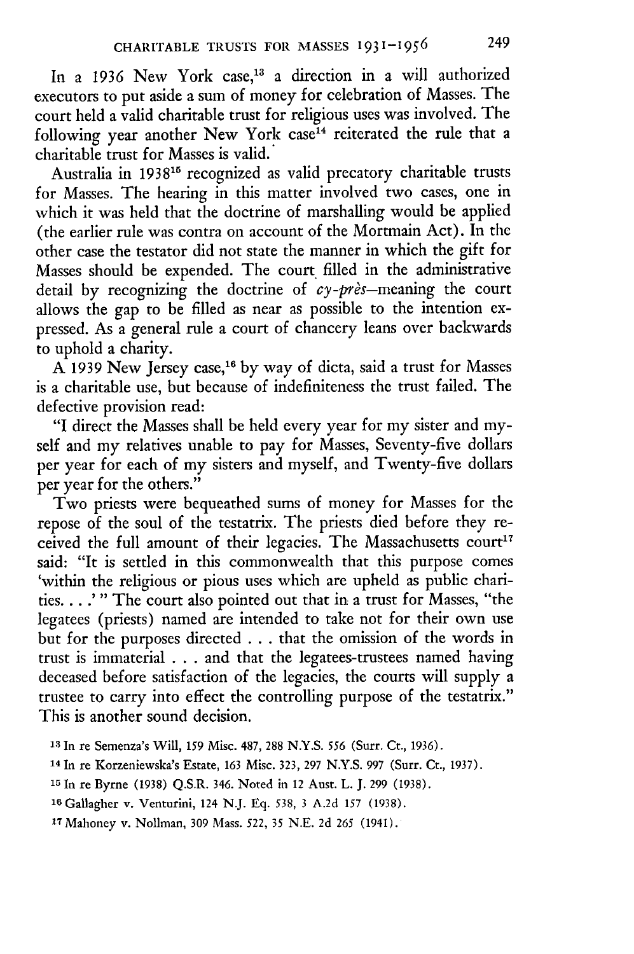In a 1936 New York case,<sup>13</sup> a direction in a will authorized executors to put aside a sum of money for celebration of Masses. The court held a valid charitable trust for religious uses was involved. The following year another New York case<sup>14</sup> reiterated the rule that a charitable trust for Masses is valid.\*

Australia in **193815** recognized as valid precatory charitable trusts for Masses. The hearing in this matter involved two cases, one in which it was held that the doctrine of marshalling would be applied (the earlier rule was contra on account of the Mortmain Act). In the other case the testator did not state the manner in which the gift for Masses should be expended. The court filled in the administrative detail by recognizing the doctrine of  $cy$ -près-meaning the court allows the gap to be filled as near as possible to the intention expressed. As a general rule a court of chancery leans over backwards to uphold a charity.

A 1939 New Jersey case,16 by way of dicta, said a trust for Masses is a charitable use, but because of indefiniteness the trust failed. The defective provision read:

"I direct the Masses shall be held every year for my sister and myself and my relatives unable to pay for Masses, Seventy-five dollars per year for each of my sisters and myself, and Twenty-five dollars per year for the others."

Two priests were bequeathed sums of money for Masses for the repose of the soul of the testatrix. The priests died before they received the full amount of their legacies. The Massachusetts  $court<sup>17</sup>$ said: "It is settled in this commonwealth that this purpose comes 'within the religious or pious uses which are upheld as public charities....'" The court also pointed out that in a trust for Masses, "the legatees (priests) named are intended to take not for their own use but for the purposes directed . . . that the omission of the words in trust is immaterial . . . and that the legatees-trustees named having deceased before satisfaction of the legacies, the courts will supply a trustee to carry into effect the controlling purpose of the testatrix." This is another sound decision.

**<sup>13</sup>**In re Semenza's Will, **159** Misc. 487, 288 N.Y.S. **556** (Surr. Ct., 1936).

<sup>14</sup> In re Korzeniewska's Estate, 163 Misc. 323, 297 N.Y.S. 997 (Surr. Ct., 1937).

**<sup>15</sup>**In re Byrne (1938) Q.S.R. 346. Noted in 12 Aust. L. **J.** 299 (1938).

**<sup>16</sup>** Gallagher v. Venturini, 124 **N.J.** Eq. 538, **3** A.2d **157 (1938).**

**<sup>17</sup>** Mahoney v. Nollman, 309 Mass. 522, 35 N.E. 2d 265 (1941).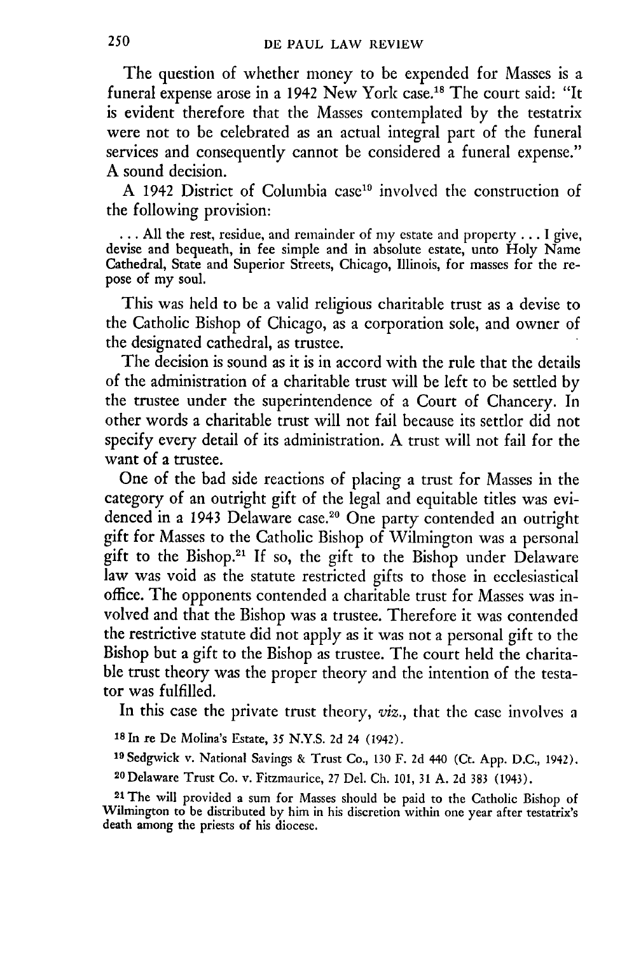The question of whether money to be expended for Masses is a funeral expense arose in a 1942 New York case.<sup>18</sup> The court said: "It is evident therefore that the Masses contemplated by the testatrix were not to be celebrated as an actual integral part of the funeral services and consequently cannot be considered a funeral expense." A sound decision.

A 1942 District of Columbia case'9 involved the construction of the following provision:

**..** All the rest, residue, and remainder of my estate and property ... I give, devise and bequeath, in fee simple and in absolute estate, unto Holy Name Cathedral, State and Superior Streets, Chicago, Illinois, for masses for the repose of my soul.

This was held to be a valid religious charitable trust as a devise to the Catholic Bishop of Chicago, as a corporation sole, and owner of the designated cathedral, as trustee.

The decision is sound as it is in accord with the rule that the details of the administration of a charitable trust will be left to be settled by the trustee under the superintendence of a Court of Chancery. In other words a charitable trust will not fail because its settlor did not specify every detail of its administration. A trust will not fail for the want of a trustee.

One of the bad side reactions of placing a trust for Masses in the category of an outright gift of the legal and equitable titles was evidenced in a 1943 Delaware case.<sup>20</sup> One party contended an outright gift for Masses to the Catholic Bishop of Wilmington was a personal gift to the Bishop.21 If so, the gift to the Bishop under Delaware law was void as the statute restricted gifts to those in ecclesiastical office. The opponents contended a charitable trust for Masses was involved and that the Bishop was a trustee. Therefore it was contended the restrictive statute did not apply as it was not a personal gift to the Bishop but a gift to the Bishop as trustee. The court held the charitable trust theory was the proper theory and the intention of the testator was fulfilled.

In this case the private trust theory, *viz.,* that the case involves a

**<sup>18</sup>**In re De Molina's Estate, **35** N.Y.S. 2d 24 (1942).

**<sup>19</sup>**Sedgwick v. National Savings & Trust Co., 130 F. **2d** 440 (Ct. App. D.C., 1942).

<sup>2</sup> 0 Delaware Trust Co. v. Fitzmaurice, 27 Del. Ch. 101, 31 A. **2d** 383 (1943).

<sup>21</sup> The will provided a sum for Masses should be paid to the Catholic Bishop of Wilmington to be distributed by him in his discretion within one year after testatrix's death among the priests of his diocese.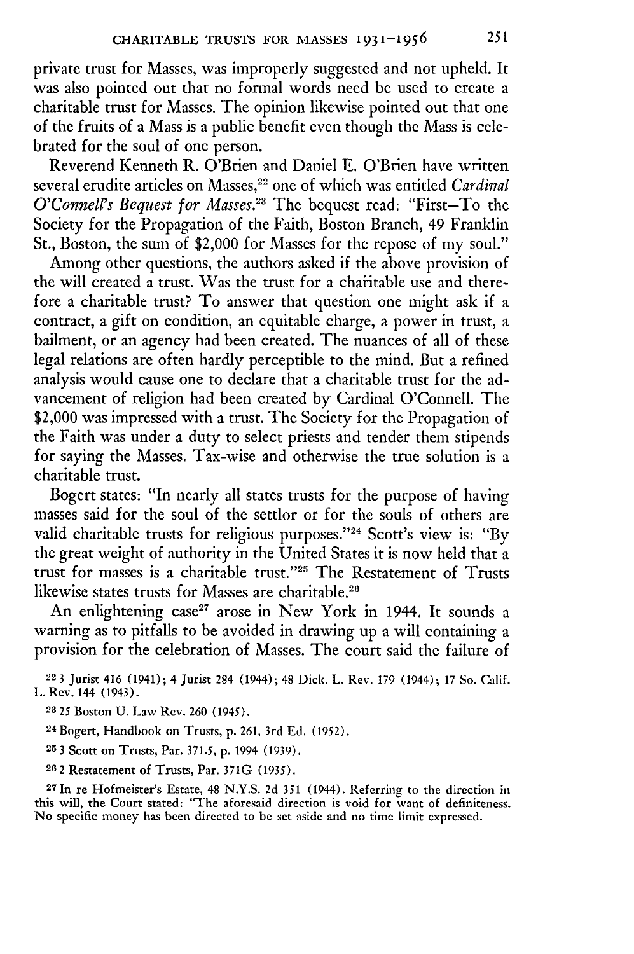private trust for Masses, was improperly suggested and not upheld. It was also pointed out that no formal words need be used to create a charitable trust for Masses. The opinion likewise pointed out that one of the fruits of a Mass is a public benefit even though the Mass is celebrated for the soul of one person.

Reverend Kenneth R. O'Brien and Daniel **E.** O'Brien have written several erudite articles on Masses,<sup>22</sup> one of which was entitled *Cardinal O'Connell's Bequest for Masses.2 <sup>3</sup>*The bequest read: "First-To **the** Society for the Propagation of the Faith, Boston Branch, 49 Franklin St., Boston, the sum of \$2,000 for Masses for the repose of my soul."

Among other questions, the authors asked if the above provision of the will created a trust. Was the trust for a charitable use and therefore a charitable trust? To answer that question one might ask if a contract, a gift on condition, an equitable charge, a power in trust, a bailment, or an agency had been created. The nuances of all of these legal relations are often hardly perceptible to the mind. But a refined analysis would cause one to declare that a charitable trust for the advancement of religion had been created **by** Cardinal O'Connell. **The** \$2,000 was impressed with a trust. The Society for the Propagation of the Faith was under a duty to select priests and tender them stipends for saying the Masses. Tax-wise and otherwise the true solution is a charitable trust.

Bogert states: "In nearly all states trusts for the purpose of having masses said for the soul of the settlor or for the souls of others are valid charitable trusts for religious purposes."<sup>24</sup> Scott's view is: "By the great weight of authority in the United States it is now held that a trust for masses is a charitable trust."<sup>25</sup> The Restatement of Trusts likewise states trusts for Masses are charitable.<sup>26</sup>

An enlightening case<sup>27</sup> arose in New York in 1944. It sounds a warning as to pitfalls to be avoided in drawing up a will containing a provision for the celebration of Masses. The court said the failure of

**<sup>22</sup>3** Jurist 416 (1941); 4 Jurist 284 (1944); 48 Dick. L. Rev. 179 (1944); **17** So. Calif. L. Rev. 144 (1943).

23 25 Boston **U.** Law Rev. 260 (1945).

24 Bogert, Handbook on Trusts, p. 261, 3rd Ed. (1952).

**25 3** Scott on Trusts, Par. 371.5, p. 1994 (1939).

**26 2** Restatement of Trusts, Par. 371G (1935).

**27In** re Hofmeister's Estate, 48 N.Y.S. **2d 351** (1944). Referring to the direction in this will, the Court stated: "The aforesaid direction is void for want of definiteness. No specific money has been directed to **be** set aside and no time limit expressed.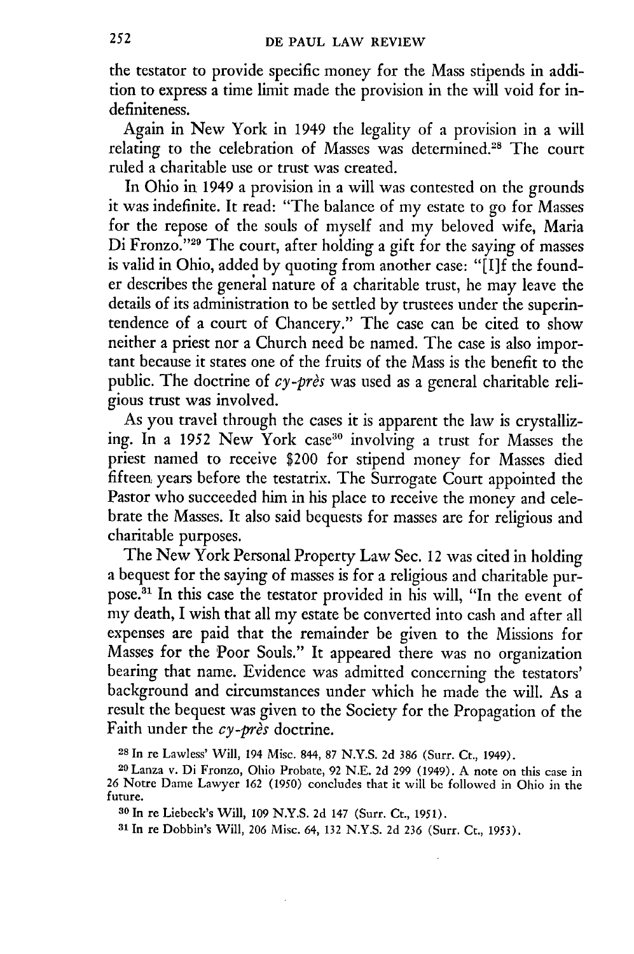the testator to provide specific money for the Mass stipends in addition to express a time limit made the provision in the will void for indefiniteness.

Again in New York in 1949 the legality of a provision in a will relating to the celebration of Masses was determined.<sup>28</sup> The court ruled a charitable use or trust was created.

In Ohio in 1949 a provision in a will was contested on the grounds it was indefinite. It read: "The balance of my estate to go for Masses for the repose of the souls of myself and my beloved wife, Maria Di Fronzo."<sup>29</sup> The court, after holding a gift for the saying of masses is valid in Ohio, added by quoting from another case: "[I]f the founder describes the general nature of a charitable trust, he may leave the details of its administration to be settled by trustees under the superintendence of a court of Chancery." The case can be cited to show neither a priest nor a Church need be named. The case is also important because it states one of the fruits of the Mass is the benefit to the public. The doctrine of *cy-pres* was used as a general charitable religious trust was involved.

As you travel through the cases it is apparent the law is crystallizing. In a 1952 New York case<sup>30</sup> involving a trust for Masses the priest named to receive \$200 for stipend money for Masses died fifteen, years before the testatrix. The Surrogate Court appointed the Pastor who succeeded him in his place to receive the money and celebrate the Masses. It also said bequests for masses are for religious and charitable purposes.

The New York Personal Property Law Sec. 12 was cited in holding a bequest for the saying of masses is for a religious and charitable purpose.<sup>31</sup> In this case the testator provided in his will, "In the event of my death, I wish that all my estate be converted into cash and after all expenses are paid that the remainder be given to the Missions for Masses for the Poor Souls." It appeared there was no organization bearing that name. Evidence was admitted concerning the testators' background and circumstances under which he made the will. As a result the bequest was given to the Society for the Propagation of the Faith under the *cy-pres* doctrine.

**<sup>28</sup>**In re Lawless' Will, 194 Misc. 844, 87 N.Y.S. 2d 386 (Surr. Ct., 1949).

<sup>2</sup> 0 Lanza v. Di Fronzo, Ohio Probate, 92 N.E. 2d 299 (1949). A note on this case in 26 Notre Dame Lawyer 162 (1950) concludes that it will be followed in Ohio in the future.

**<sup>30</sup>**In re Liebeck's Will, 109 N.Y.S. 2d 147 (Surr. Ct., 1951).

**31** In re Dobbin's Will, 206 Misc. 64, 132 N.Y.S. 2d 236 (Surr. Ct., 1953).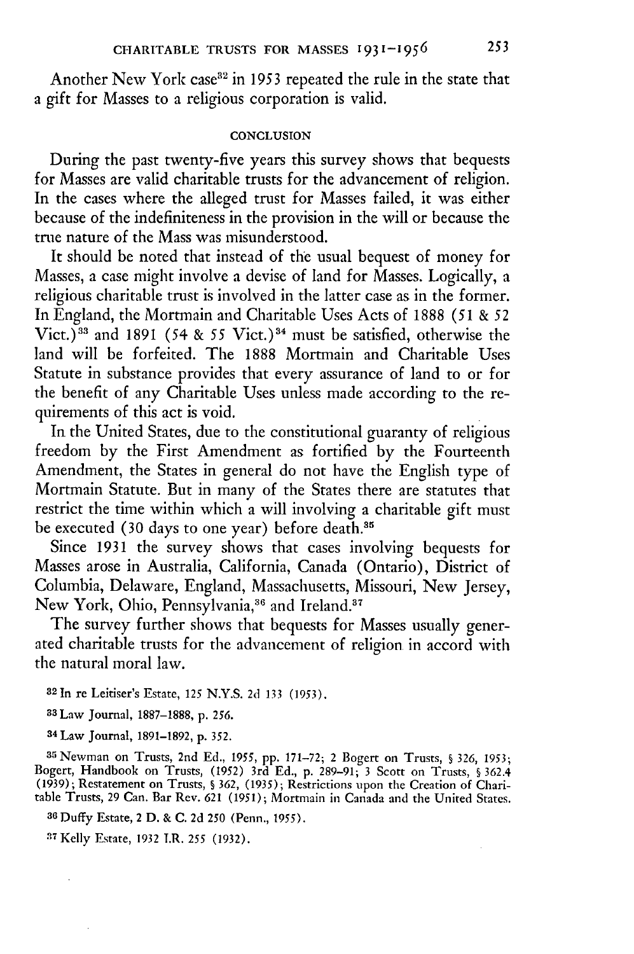Another New York case<sup>32</sup> in 1953 repeated the rule in the state that a gift for Masses to a religious corporation is valid.

### **CONCLUSION**

During the past twenty-five years this survey shows that bequests for Masses are valid charitable trusts for the advancement of religion. In the cases where the alleged trust for Masses failed, it was either because of the indefiniteness in the provision in the will or because the true nature of the Mass was misunderstood.

It should be noted that instead of the usual bequest of money for Masses, a case might involve a devise of land for Masses. Logically, a religious charitable trust is involved in the latter case as in the former. In England, the Mortmain and Charitable Uses Acts of 1888 (51 *& 52* Vict.)<sup>33</sup> and 1891 (54 & 55 Vict.)<sup>34</sup> must be satisfied, otherwise the land will be forfeited. The 1888 Mortmain and Charitable Uses Statute in substance provides that every assurance of land to or for the benefit of any Charitable Uses unless made according to the requirements of this act is void.

In the United States, due to the constitutional guaranty of religious freedom by the First Amendment as fortified by the Fourteenth Amendment, the States in general do not have the English type of Mortmain Statute. But in many of the States there are statutes that restrict the time within which a will involving a charitable gift must be executed (30 days to one year) before death.<sup>35</sup>

Since 1931 the survey shows that cases involving bequests for Masses arose in Australia, California, Canada (Ontario), District of Columbia, Delaware, England, Massachusetts, Missouri, New Jersey, New York, Ohio, Pennsylvania,<sup>36</sup> and Ireland.<sup>37</sup>

The survey further shows that bequests for Masses usually generated charitable trusts for the advancement of religion in accord with the natural moral law.

**82** In re Leitiser's Estate, 125 N.Y.S. 2d 133 (1953).

**33Law** Journal, **1887-1888, p.** *256.*

**34** Law Journal, 1891-1892, **p.** 352.

**<sup>35</sup>**Newman on Trusts, 2nd Ed., 1955, **pp.** 171-72; 2 Bogert on Trusts, § 326, 1953; Bogert, Handbook on Trusts, (1952) 3rd Ed., p. 289-91; 3 Scott on Trusts, § 362.4 **(1939);** Restatement on Trusts, § 362, (1935); Restrictions upon the Creation of Charitable Trusts, 29 Can. Bar Rev. **621** (1951); Mortmain in Canada and the United States.

**<sup>36</sup>**Duffy Estate, 2 D. & **C.** 2d 250 (Penn., 1955).

**.7** Kelly Estate, 1932 I.R. **255** (1932).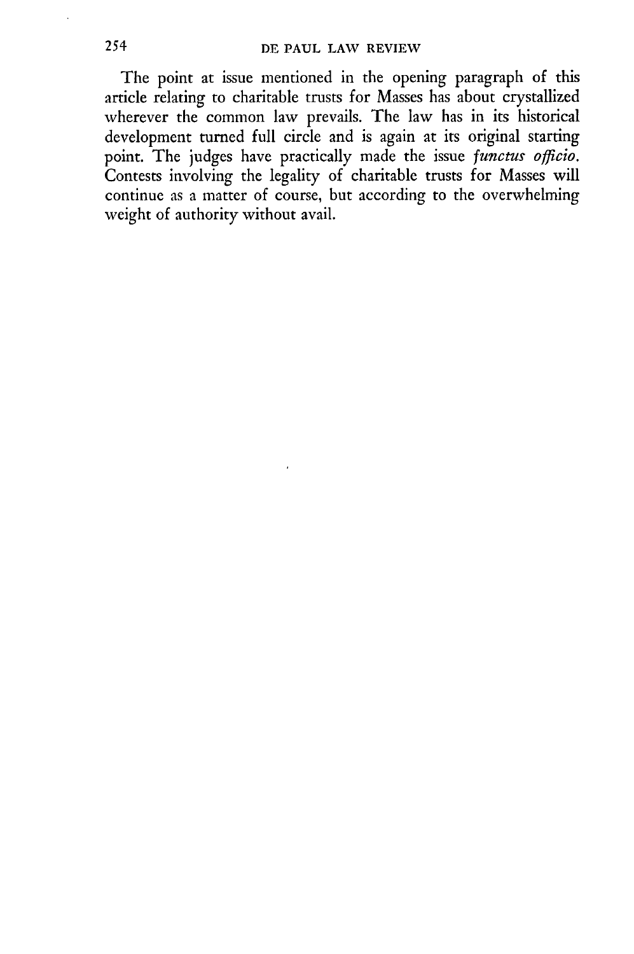The point at issue mentioned in the opening paragraph of this article relating to charitable trusts for Masses has about crystallized wherever the common law prevails. The law has in its historical development turned full circle and is again at its original starting point. The judges have practically made the issue *functus officio.* Contests involving the legality of charitable trusts for Masses will continue as a matter of course, but according to the overwhelming weight of authority without avail.